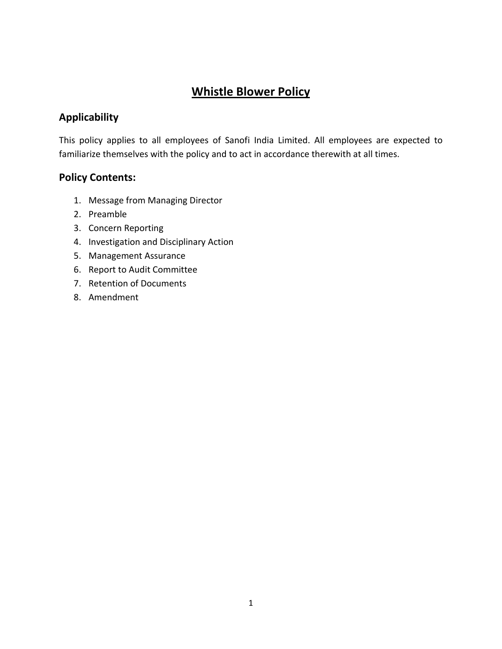# **Whistle Blower Policy**

# **Applicability**

This policy applies to all employees of Sanofi India Limited. All employees are expected to familiarize themselves with the policy and to act in accordance therewith at all times.

# **Policy Contents:**

- 1. Message from Managing Director
- 2. Preamble
- 3. Concern Reporting
- 4. Investigation and Disciplinary Action
- 5. Management Assurance
- 6. Report to Audit Committee
- 7. Retention of Documents
- 8. Amendment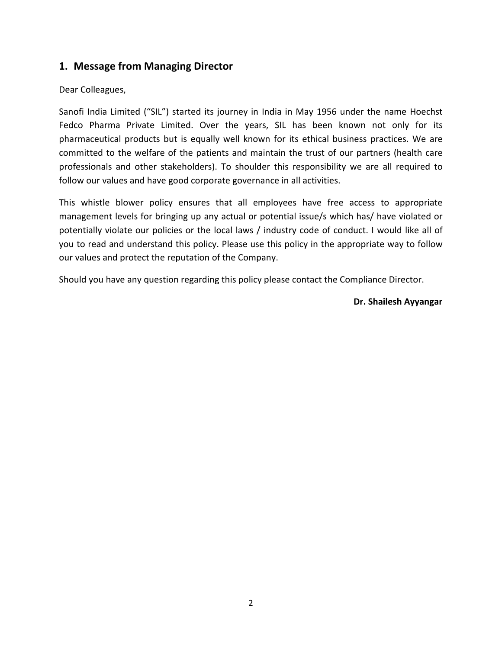# **1. Message from Managing Director**

#### Dear Colleagues,

Sanofi India Limited ("SIL") started its journey in India in May 1956 under the name Hoechst Fedco Pharma Private Limited. Over the years, SIL has been known not only for its pharmaceutical products but is equally well known for its ethical business practices. We are committed to the welfare of the patients and maintain the trust of our partners (health care professionals and other stakeholders). To shoulder this responsibility we are all required to follow our values and have good corporate governance in all activities.

This whistle blower policy ensures that all employees have free access to appropriate management levels for bringing up any actual or potential issue/s which has/ have violated or potentially violate our policies or the local laws / industry code of conduct. I would like all of you to read and understand this policy. Please use this policy in the appropriate way to follow our values and protect the reputation of the Company.

Should you have any question regarding this policy please contact the Compliance Director.

#### **Dr. Shailesh Ayyangar**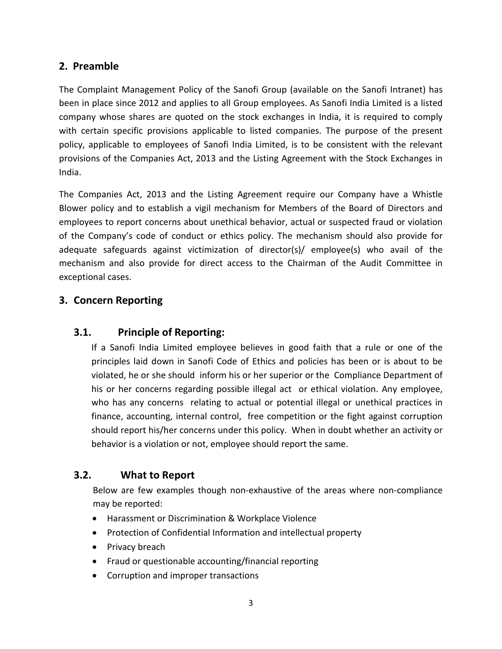# **2. Preamble**

The Complaint Management Policy of the Sanofi Group (available on the Sanofi Intranet) has been in place since 2012 and applies to all Group employees. As Sanofi India Limited is a listed company whose shares are quoted on the stock exchanges in India, it is required to comply with certain specific provisions applicable to listed companies. The purpose of the present policy, applicable to employees of Sanofi India Limited, is to be consistent with the relevant provisions of the Companies Act, 2013 and the Listing Agreement with the Stock Exchanges in India.

The Companies Act, 2013 and the Listing Agreement require our Company have a Whistle Blower policy and to establish a vigil mechanism for Members of the Board of Directors and employees to report concerns about unethical behavior, actual or suspected fraud or violation of the Company's code of conduct or ethics policy. The mechanism should also provide for adequate safeguards against victimization of director(s)/ employee(s) who avail of the mechanism and also provide for direct access to the Chairman of the Audit Committee in exceptional cases.

# **3. Concern Reporting**

# **3.1. Principle of Reporting:**

If a Sanofi India Limited employee believes in good faith that a rule or one of the principles laid down in Sanofi Code of Ethics and policies has been or is about to be violated, he or she should inform his or her superior or the Compliance Department of his or her concerns regarding possible illegal act or ethical violation. Any employee, who has any concerns relating to actual or potential illegal or unethical practices in finance, accounting, internal control, free competition or the fight against corruption should report his/her concerns under this policy. When in doubt whether an activity or behavior is a violation or not, employee should report the same.

# **3.2. What to Report**

Below are few examples though non-exhaustive of the areas where non-compliance may be reported:

- Harassment or Discrimination & Workplace Violence
- Protection of Confidential Information and intellectual property
- Privacy breach
- Fraud or questionable accounting/financial reporting
- Corruption and improper transactions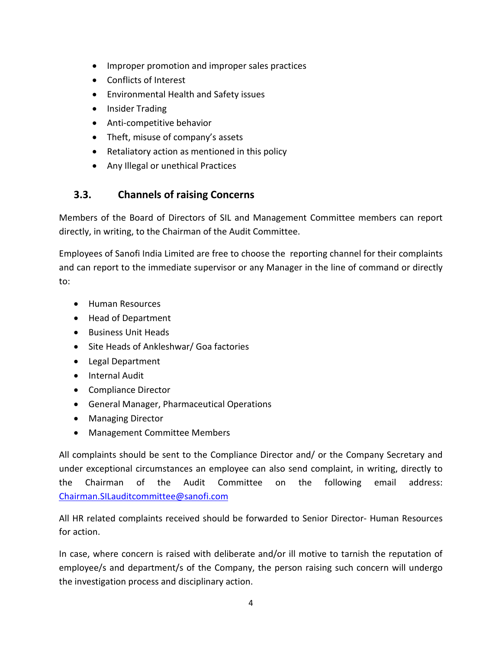- Improper promotion and improper sales practices
- Conflicts of Interest
- Environmental Health and Safety issues
- Insider Trading
- Anti-competitive behavior
- Theft, misuse of company's assets
- Retaliatory action as mentioned in this policy
- Any Illegal or unethical Practices

# **3.3. Channels of raising Concerns**

Members of the Board of Directors of SIL and Management Committee members can report directly, in writing, to the Chairman of the Audit Committee.

Employees of Sanofi India Limited are free to choose the reporting channel for their complaints and can report to the immediate supervisor or any Manager in the line of command or directly to:

- Human Resources
- Head of Department
- Business Unit Heads
- Site Heads of Ankleshwar/ Goa factories
- Legal Department
- Internal Audit
- Compliance Director
- General Manager, Pharmaceutical Operations
- Managing Director
- Management Committee Members

All complaints should be sent to the Compliance Director and/ or the Company Secretary and under exceptional circumstances an employee can also send complaint, in writing, directly to the Chairman of the Audit Committee on the following email address: [Chairman.SILauditcommittee@sanofi.com](mailto:Chairman.SILauditcommittee@sanofi.com)

All HR related complaints received should be forwarded to Senior Director- Human Resources for action.

In case, where concern is raised with deliberate and/or ill motive to tarnish the reputation of employee/s and department/s of the Company, the person raising such concern will undergo the investigation process and disciplinary action.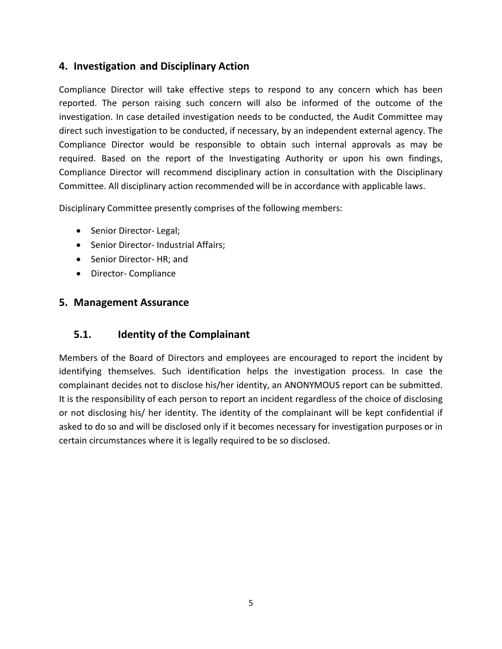# **4. Investigation and Disciplinary Action**

Compliance Director will take effective steps to respond to any concern which has been reported. The person raising such concern will also be informed of the outcome of the investigation. In case detailed investigation needs to be conducted, the Audit Committee may direct such investigation to be conducted, if necessary, by an independent external agency. The Compliance Director would be responsible to obtain such internal approvals as may be required. Based on the report of the Investigating Authority or upon his own findings, Compliance Director will recommend disciplinary action in consultation with the Disciplinary Committee. All disciplinary action recommended will be in accordance with applicable laws.

Disciplinary Committee presently comprises of the following members:

- Senior Director- Legal;
- Senior Director- Industrial Affairs;
- Senior Director- HR; and
- Director- Compliance

#### **5. Management Assurance**

#### **5.1. Identity of the Complainant**

Members of the Board of Directors and employees are encouraged to report the incident by identifying themselves. Such identification helps the investigation process. In case the complainant decides not to disclose his/her identity, an ANONYMOUS report can be submitted. It is the responsibility of each person to report an incident regardless of the choice of disclosing or not disclosing his/ her identity. The identity of the complainant will be kept confidential if asked to do so and will be disclosed only if it becomes necessary for investigation purposes or in certain circumstances where it is legally required to be so disclosed.